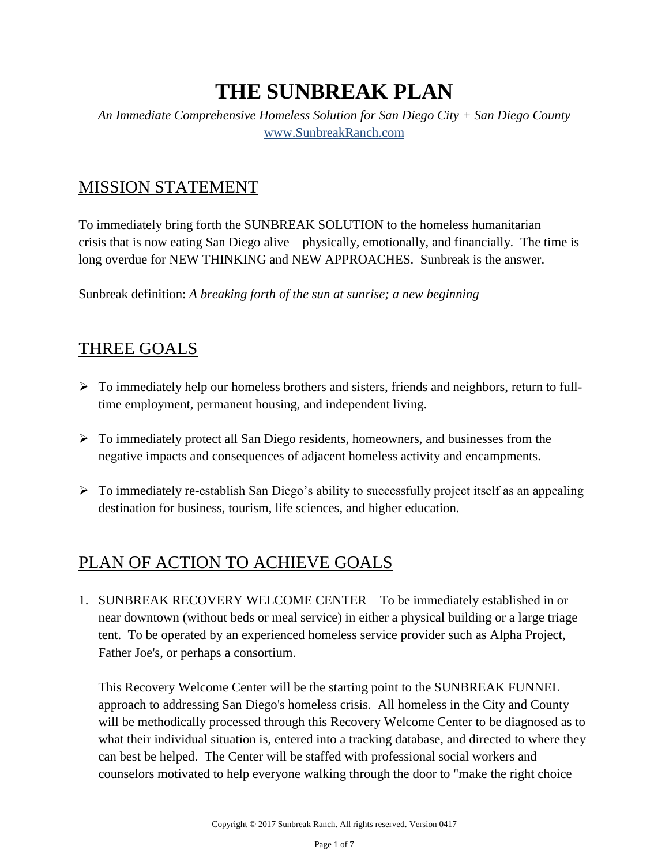# **THE SUNBREAK PLAN**

*An Immediate Comprehensive Homeless Solution for San Diego City + San Diego County* [www.SunbreakRanch.com](http://www.sunbreakranch.com/)

### MISSION STATEMENT

To immediately bring forth the SUNBREAK SOLUTION to the homeless humanitarian crisis that is now eating San Diego alive – physically, emotionally, and financially. The time is long overdue for NEW THINKING and NEW APPROACHES. Sunbreak is the answer.

Sunbreak definition: *A breaking forth of the sun at sunrise; a new beginning*

#### THREE GOALS

- $\triangleright$  To immediately help our homeless brothers and sisters, friends and neighbors, return to fulltime employment, permanent housing, and independent living.
- $\triangleright$  To immediately protect all San Diego residents, homeowners, and businesses from the negative impacts and consequences of adjacent homeless activity and encampments.
- $\triangleright$  To immediately re-establish San Diego's ability to successfully project itself as an appealing destination for business, tourism, life sciences, and higher education.

## PLAN OF ACTION TO ACHIEVE GOALS

1. SUNBREAK RECOVERY WELCOME CENTER – To be immediately established in or near downtown (without beds or meal service) in either a physical building or a large triage tent. To be operated by an experienced homeless service provider such as Alpha Project, Father Joe's, or perhaps a consortium.

This Recovery Welcome Center will be the starting point to the SUNBREAK FUNNEL approach to addressing San Diego's homeless crisis. All homeless in the City and County will be methodically processed through this Recovery Welcome Center to be diagnosed as to what their individual situation is, entered into a tracking database, and directed to where they can best be helped. The Center will be staffed with professional social workers and counselors motivated to help everyone walking through the door to "make the right choice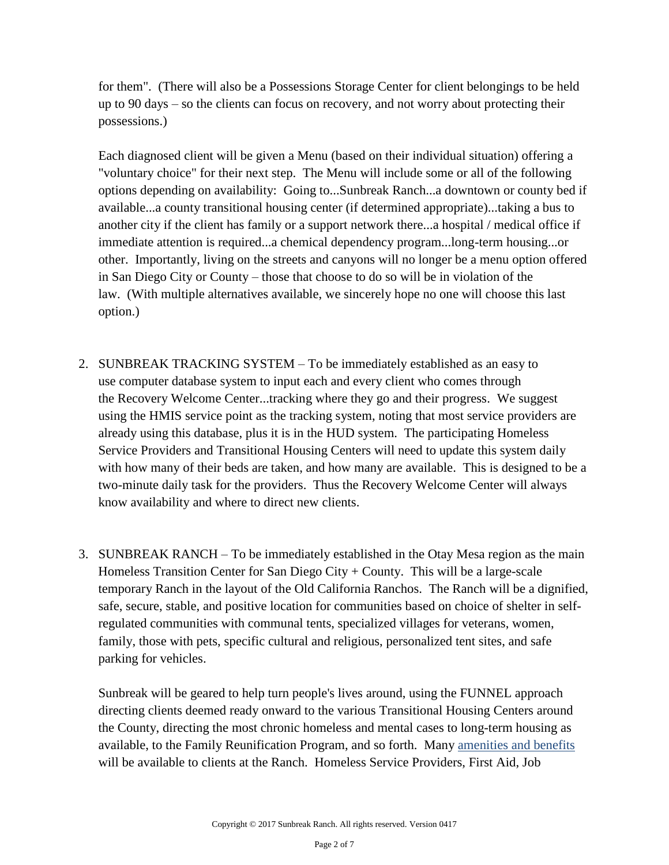for them". (There will also be a Possessions Storage Center for client belongings to be held up to 90 days – so the clients can focus on recovery, and not worry about protecting their possessions.)

Each diagnosed client will be given a Menu (based on their individual situation) offering a "voluntary choice" for their next step. The Menu will include some or all of the following options depending on availability: Going to...Sunbreak Ranch...a downtown or county bed if available...a county transitional housing center (if determined appropriate)...taking a bus to another city if the client has family or a support network there...a hospital / medical office if immediate attention is required...a chemical dependency program...long-term housing...or other. Importantly, living on the streets and canyons will no longer be a menu option offered in San Diego City or County – those that choose to do so will be in violation of the law. (With multiple alternatives available, we sincerely hope no one will choose this last option.)

- 2. SUNBREAK TRACKING SYSTEM To be immediately established as an easy to use computer database system to input each and every client who comes through the Recovery Welcome Center...tracking where they go and their progress. We suggest using the HMIS service point as the tracking system, noting that most service providers are already using this database, plus it is in the HUD system. The participating Homeless Service Providers and Transitional Housing Centers will need to update this system daily with how many of their beds are taken, and how many are available. This is designed to be a two-minute daily task for the providers. Thus the Recovery Welcome Center will always know availability and where to direct new clients.
- 3. SUNBREAK RANCH To be immediately established in the Otay Mesa region as the main Homeless Transition Center for San Diego City + County. This will be a large-scale temporary Ranch in the layout of the Old California Ranchos. The Ranch will be a dignified, safe, secure, stable, and positive location for communities based on choice of shelter in selfregulated communities with communal tents, specialized villages for veterans, women, family, those with pets, specific cultural and religious, personalized tent sites, and safe parking for vehicles.

Sunbreak will be geared to help turn people's lives around, using the FUNNEL approach directing clients deemed ready onward to the various Transitional Housing Centers around the County, directing the most chronic homeless and mental cases to long-term housing as available, to the Family Reunification Program, and so forth. Many [amenities and benefits](http://sunbreakranch.com/wp-content/uploads/SUNBREAK-RANCH-AMENITIES-BENEFITS.pdf) will be available to clients at the Ranch. Homeless Service Providers, First Aid, Job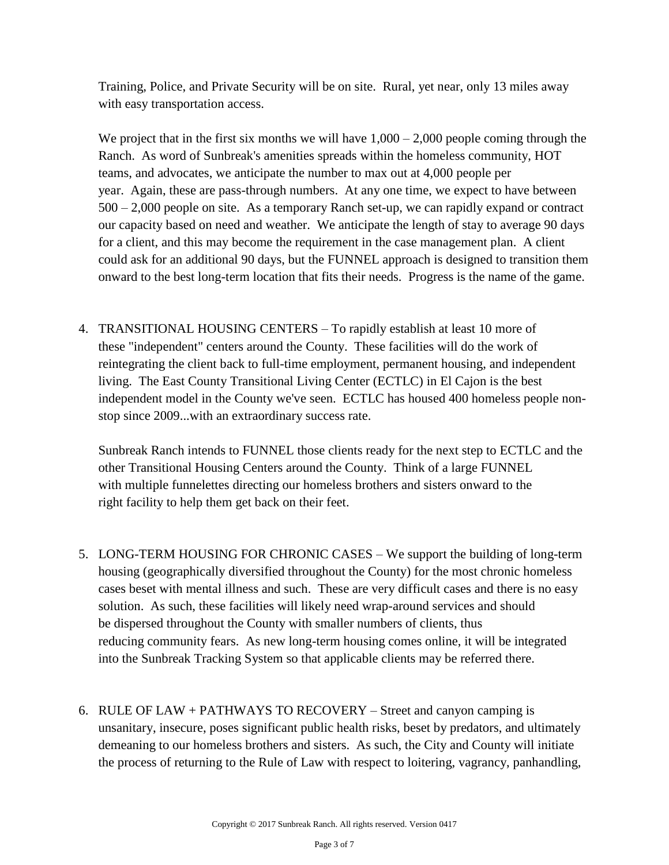Training, Police, and Private Security will be on site. Rural, yet near, only 13 miles away with easy transportation access.

We project that in the first six months we will have  $1,000 - 2,000$  people coming through the Ranch. As word of Sunbreak's amenities spreads within the homeless community, HOT teams, and advocates, we anticipate the number to max out at 4,000 people per year. Again, these are pass-through numbers. At any one time, we expect to have between 500 – 2,000 people on site. As a temporary Ranch set-up, we can rapidly expand or contract our capacity based on need and weather. We anticipate the length of stay to average 90 days for a client, and this may become the requirement in the case management plan. A client could ask for an additional 90 days, but the FUNNEL approach is designed to transition them onward to the best long-term location that fits their needs. Progress is the name of the game.

4. TRANSITIONAL HOUSING CENTERS – To rapidly establish at least 10 more of these "independent" centers around the County. These facilities will do the work of reintegrating the client back to full-time employment, permanent housing, and independent living. The East County Transitional Living Center (ECTLC) in El Cajon is the best independent model in the County we've seen. ECTLC has housed 400 homeless people nonstop since 2009...with an extraordinary success rate.

Sunbreak Ranch intends to FUNNEL those clients ready for the next step to ECTLC and the other Transitional Housing Centers around the County. Think of a large FUNNEL with multiple funnelettes directing our homeless brothers and sisters onward to the right facility to help them get back on their feet.

- 5. LONG-TERM HOUSING FOR CHRONIC CASES We support the building of long-term housing (geographically diversified throughout the County) for the most chronic homeless cases beset with mental illness and such. These are very difficult cases and there is no easy solution. As such, these facilities will likely need wrap-around services and should be dispersed throughout the County with smaller numbers of clients, thus reducing community fears. As new long-term housing comes online, it will be integrated into the Sunbreak Tracking System so that applicable clients may be referred there.
- 6. RULE OF LAW + PATHWAYS TO RECOVERY Street and canyon camping is unsanitary, insecure, poses significant public health risks, beset by predators, and ultimately demeaning to our homeless brothers and sisters. As such, the City and County will initiate the process of returning to the Rule of Law with respect to loitering, vagrancy, panhandling,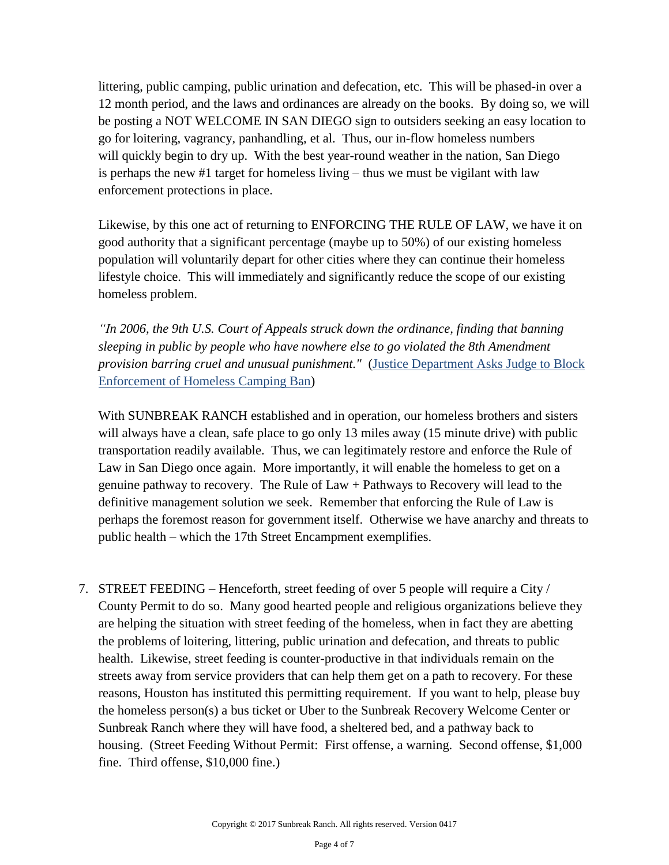littering, public camping, public urination and defecation, etc. This will be phased-in over a 12 month period, and the laws and ordinances are already on the books. By doing so, we will be posting a NOT WELCOME IN SAN DIEGO sign to outsiders seeking an easy location to go for loitering, vagrancy, panhandling, et al. Thus, our in-flow homeless numbers will quickly begin to dry up. With the best year-round weather in the nation, San Diego is perhaps the new #1 target for homeless living – thus we must be vigilant with law enforcement protections in place.

Likewise, by this one act of returning to ENFORCING THE RULE OF LAW, we have it on good authority that a significant percentage (maybe up to 50%) of our existing homeless population will voluntarily depart for other cities where they can continue their homeless lifestyle choice. This will immediately and significantly reduce the scope of our existing homeless problem.

*"In 2006, the [9th U.S. Court of Appeals](http://www.latimes.com/local/la-me-skidrow19apr19-story.html) struck down the ordinance, finding that banning sleeping in public by people who have nowhere else to go violated the 8th Amendment provision barring cruel and unusual punishment."* [\(Justice Department Asks Judge to Block](http://www.latimes.com/local/lanow/la-me-ln-homeless-anti-camping-law-20150806-story,amp.html)  [Enforcement of Homeless Camping Ban\)](http://www.latimes.com/local/lanow/la-me-ln-homeless-anti-camping-law-20150806-story,amp.html)

With SUNBREAK RANCH established and in operation, our homeless brothers and sisters will always have a clean, safe place to go only 13 miles away (15 minute drive) with public transportation readily available. Thus, we can legitimately restore and enforce the Rule of Law in San Diego once again. More importantly, it will enable the homeless to get on a genuine pathway to recovery. The Rule of Law + Pathways to Recovery will lead to the definitive management solution we seek. Remember that enforcing the Rule of Law is perhaps the foremost reason for government itself. Otherwise we have anarchy and threats to public health – which the 17th Street Encampment exemplifies.

7. STREET FEEDING – Henceforth, street feeding of over 5 people will require a City / County Permit to do so. Many good hearted people and religious organizations believe they are helping the situation with street feeding of the homeless, when in fact they are abetting the problems of loitering, littering, public urination and defecation, and threats to public health. Likewise, street feeding is counter-productive in that individuals remain on the streets away from service providers that can help them get on a path to recovery. For these reasons, Houston has instituted this permitting requirement. If you want to help, please buy the homeless person(s) a bus ticket or Uber to the Sunbreak Recovery Welcome Center or Sunbreak Ranch where they will have food, a sheltered bed, and a pathway back to housing. (Street Feeding Without Permit: First offense, a warning. Second offense, \$1,000 fine. Third offense, \$10,000 fine.)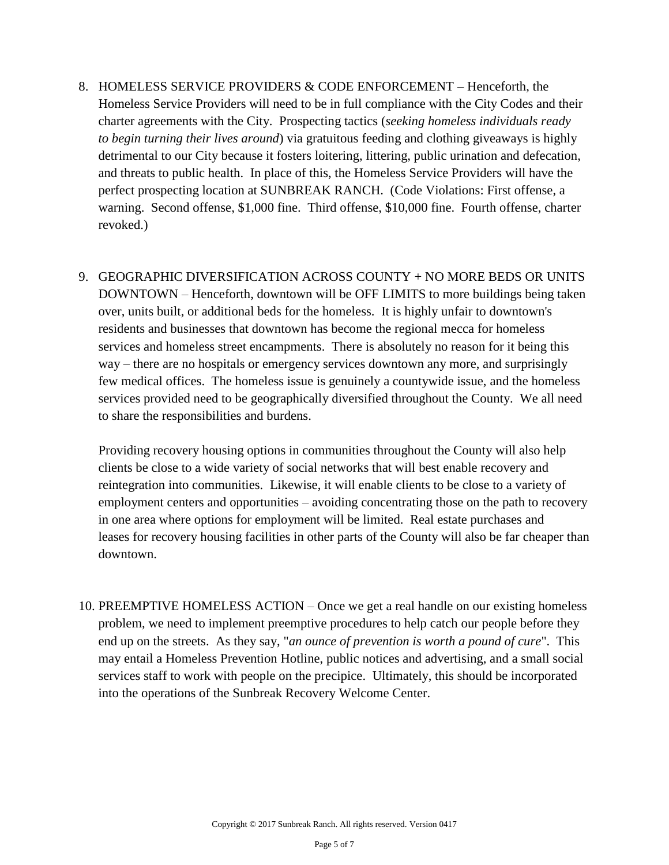- 8. HOMELESS SERVICE PROVIDERS & CODE ENFORCEMENT Henceforth, the Homeless Service Providers will need to be in full compliance with the City Codes and their charter agreements with the City. Prospecting tactics (*seeking homeless individuals ready to begin turning their lives around*) via gratuitous feeding and clothing giveaways is highly detrimental to our City because it fosters loitering, littering, public urination and defecation, and threats to public health. In place of this, the Homeless Service Providers will have the perfect prospecting location at SUNBREAK RANCH. (Code Violations: First offense, a warning. Second offense, \$1,000 fine. Third offense, \$10,000 fine. Fourth offense, charter revoked.)
- 9. GEOGRAPHIC DIVERSIFICATION ACROSS COUNTY + NO MORE BEDS OR UNITS DOWNTOWN – Henceforth, downtown will be OFF LIMITS to more buildings being taken over, units built, or additional beds for the homeless. It is highly unfair to downtown's residents and businesses that downtown has become the regional mecca for homeless services and homeless street encampments. There is absolutely no reason for it being this way – there are no hospitals or emergency services downtown any more, and surprisingly few medical offices. The homeless issue is genuinely a countywide issue, and the homeless services provided need to be geographically diversified throughout the County. We all need to share the responsibilities and burdens.

Providing recovery housing options in communities throughout the County will also help clients be close to a wide variety of social networks that will best enable recovery and reintegration into communities. Likewise, it will enable clients to be close to a variety of employment centers and opportunities – avoiding concentrating those on the path to recovery in one area where options for employment will be limited. Real estate purchases and leases for recovery housing facilities in other parts of the County will also be far cheaper than downtown.

10. PREEMPTIVE HOMELESS ACTION – Once we get a real handle on our existing homeless problem, we need to implement preemptive procedures to help catch our people before they end up on the streets. As they say, "*an ounce of prevention is worth a pound of cure*". This may entail a Homeless Prevention Hotline, public notices and advertising, and a small social services staff to work with people on the precipice. Ultimately, this should be incorporated into the operations of the Sunbreak Recovery Welcome Center.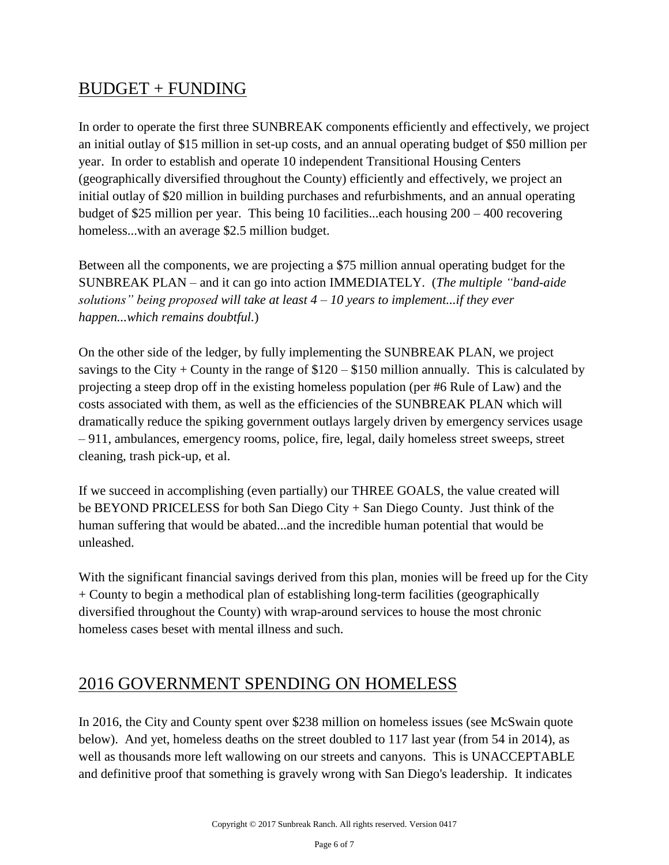## BUDGET + FUNDING

In order to operate the first three SUNBREAK components efficiently and effectively, we project an initial outlay of \$15 million in set-up costs, and an annual operating budget of \$50 million per year. In order to establish and operate 10 independent Transitional Housing Centers (geographically diversified throughout the County) efficiently and effectively, we project an initial outlay of \$20 million in building purchases and refurbishments, and an annual operating budget of \$25 million per year. This being 10 facilities...each housing 200 – 400 recovering homeless...with an average \$2.5 million budget.

Between all the components, we are projecting a \$75 million annual operating budget for the SUNBREAK PLAN – and it can go into action IMMEDIATELY. (*The multiple "band-aide solutions" being proposed will take at least 4 – 10 years to implement...if they ever happen...which remains doubtful.*)

On the other side of the ledger, by fully implementing the SUNBREAK PLAN, we project savings to the City + County in the range of  $$120 - $150$  million annually. This is calculated by projecting a steep drop off in the existing homeless population (per #6 Rule of Law) and the costs associated with them, as well as the efficiencies of the SUNBREAK PLAN which will dramatically reduce the spiking government outlays largely driven by emergency services usage – 911, ambulances, emergency rooms, police, fire, legal, daily homeless street sweeps, street cleaning, trash pick-up, et al.

If we succeed in accomplishing (even partially) our THREE GOALS, the value created will be BEYOND PRICELESS for both San Diego City + San Diego County. Just think of the human suffering that would be abated...and the incredible human potential that would be unleashed.

With the significant financial savings derived from this plan, monies will be freed up for the City + County to begin a methodical plan of establishing long-term facilities (geographically diversified throughout the County) with wrap-around services to house the most chronic homeless cases beset with mental illness and such.

## 2016 GOVERNMENT SPENDING ON HOMELESS

In 2016, the City and County spent over \$238 million on homeless issues (see McSwain quote below). And yet, homeless deaths on the street doubled to 117 last year (from 54 in 2014), as well as thousands more left wallowing on our streets and canyons. This is UNACCEPTABLE and definitive proof that something is gravely wrong with San Diego's leadership. It indicates